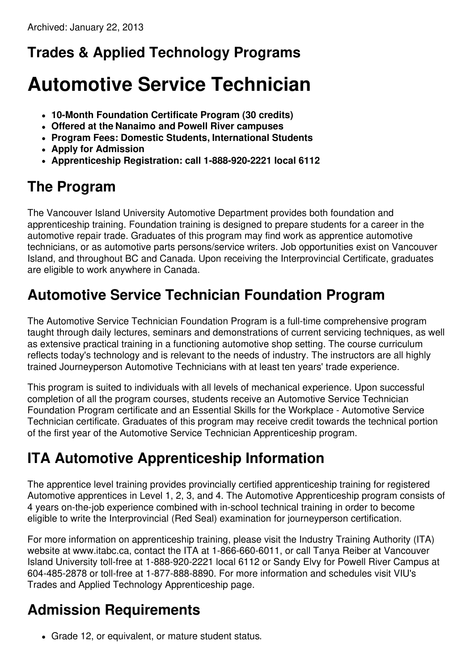# **Trades & Applied Technology Programs**

# **Automotive Service Technician**

- **10-Month Foundation Certificate Program (30 credits)**
- **Offered at the Nanaimo and Powell River campuses**
- **Program Fees: Domestic Students, International Students**
- **Apply for Admission**
- **Apprenticeship Registration: call 1-888-920-2221 local 6112**

#### **The Program**

The Vancouver Island University Automotive Department provides both foundation and apprenticeship training. Foundation training is designed to prepare students for a career in the automotive repair trade. Graduates of this program may find work as apprentice automotive technicians, or as automotive parts persons/service writers. Job opportunities exist on Vancouver Island, and throughout BC and Canada. Upon receiving the Interprovincial Certificate, graduates are eligible to work anywhere in Canada.

#### **Automotive Service Technician Foundation Program**

The Automotive Service Technician Foundation Program is a full-time comprehensive program taught through daily lectures, seminars and demonstrations of current servicing techniques, as well as extensive practical training in a functioning automotive shop setting. The course curriculum reflects today's technology and is relevant to the needs of industry. The instructors are all highly trained Journeyperson Automotive Technicians with at least ten years' trade experience.

This program is suited to individuals with all levels of mechanical experience. Upon successful completion of all the program courses, students receive an Automotive Service Technician Foundation Program certificate and an Essential Skills for the Workplace - Automotive Service Technician certificate. Graduates of this program may receive credit towards the technical portion of the first year of the Automotive Service Technician Apprenticeship program.

### **ITA Automotive Apprenticeship Information**

The apprentice level training provides provincially certified apprenticeship training for registered Automotive apprentices in Level 1, 2, 3, and 4. The Automotive Apprenticeship program consists of 4 years on-the-job experience combined with in-school technical training in order to become eligible to write the Interprovincial (Red Seal) examination for journeyperson certification.

For more information on apprenticeship training, please visit the Industry Training Authority (ITA) website at www.itabc.ca, contact the ITA at 1-866-660-6011, or call Tanya Reiber at Vancouver Island University toll-free at 1-888-920-2221 local 6112 or Sandy Elvy for Powell River Campus at 604-485-2878 or toll-free at 1-877-888-8890. For more information and schedules visit VIU's Trades and Applied Technology Apprenticeship page.

### **Admission Requirements**

Grade 12, or equivalent, or mature student status.